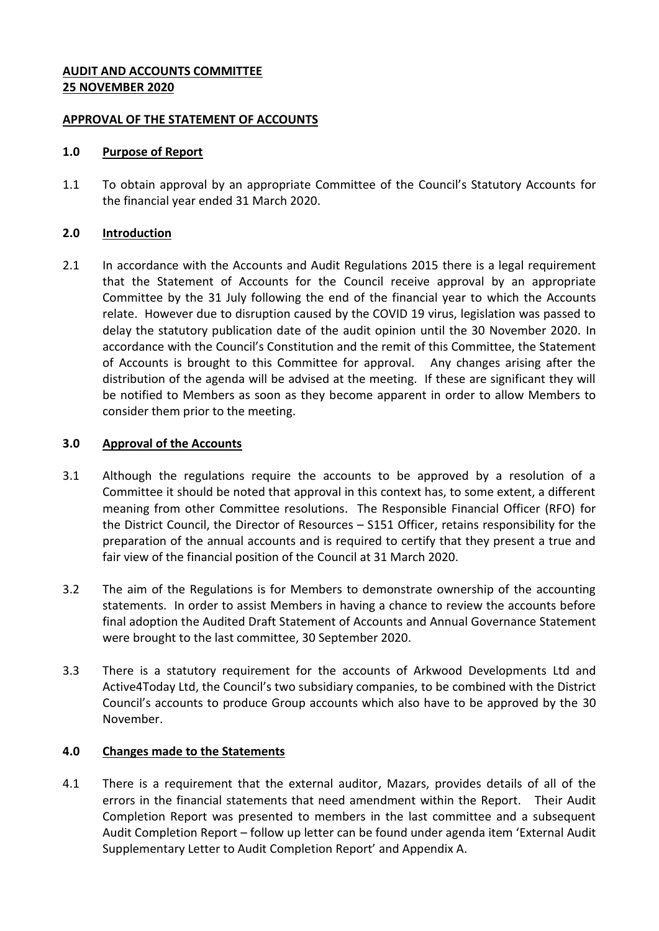## **AUDIT AND ACCOUNTS COMMITTEE 25 NOVEMBER 2020**

### **APPROVAL OF THE STATEMENT OF ACCOUNTS**

### **1.0 Purpose of Report**

1.1 To obtain approval by an appropriate Committee of the Council's Statutory Accounts for the financial year ended 31 March 2020.

## **2.0 Introduction**

2.1 In accordance with the Accounts and Audit Regulations 2015 there is a legal requirement that the Statement of Accounts for the Council receive approval by an appropriate Committee by the 31 July following the end of the financial year to which the Accounts relate. However due to disruption caused by the COVID 19 virus, legislation was passed to delay the statutory publication date of the audit opinion until the 30 November 2020. In accordance with the Council's Constitution and the remit of this Committee, the Statement of Accounts is brought to this Committee for approval. Any changes arising after the distribution of the agenda will be advised at the meeting. If these are significant they will be notified to Members as soon as they become apparent in order to allow Members to consider them prior to the meeting.

## **3.0 Approval of the Accounts**

- 3.1 Although the regulations require the accounts to be approved by a resolution of a Committee it should be noted that approval in this context has, to some extent, a different meaning from other Committee resolutions. The Responsible Financial Officer (RFO) for the District Council, the Director of Resources – S151 Officer, retains responsibility for the preparation of the annual accounts and is required to certify that they present a true and fair view of the financial position of the Council at 31 March 2020.
- 3.2 The aim of the Regulations is for Members to demonstrate ownership of the accounting statements. In order to assist Members in having a chance to review the accounts before final adoption the Audited Draft Statement of Accounts and Annual Governance Statement were brought to the last committee, 30 September 2020.
- 3.3 There is a statutory requirement for the accounts of Arkwood Developments Ltd and Active4Today Ltd, the Council's two subsidiary companies, to be combined with the District Council's accounts to produce Group accounts which also have to be approved by the 30 November.

# **4.0 Changes made to the Statements**

4.1 There is a requirement that the external auditor, Mazars, provides details of all of the errors in the financial statements that need amendment within the Report. Their Audit Completion Report was presented to members in the last committee and a subsequent Audit Completion Report – follow up letter can be found under agenda item 'External Audit Supplementary Letter to Audit Completion Report' and Appendix A.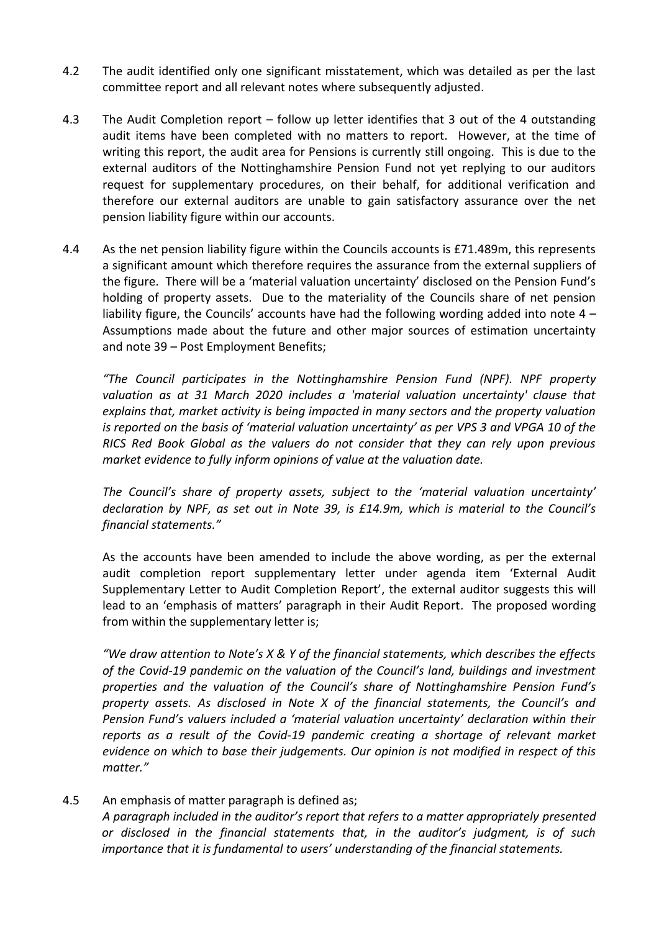- 4.2 The audit identified only one significant misstatement, which was detailed as per the last committee report and all relevant notes where subsequently adjusted.
- 4.3 The Audit Completion report follow up letter identifies that 3 out of the 4 outstanding audit items have been completed with no matters to report. However, at the time of writing this report, the audit area for Pensions is currently still ongoing. This is due to the external auditors of the Nottinghamshire Pension Fund not yet replying to our auditors request for supplementary procedures, on their behalf, for additional verification and therefore our external auditors are unable to gain satisfactory assurance over the net pension liability figure within our accounts.
- 4.4 As the net pension liability figure within the Councils accounts is £71.489m, this represents a significant amount which therefore requires the assurance from the external suppliers of the figure. There will be a 'material valuation uncertainty' disclosed on the Pension Fund's holding of property assets. Due to the materiality of the Councils share of net pension liability figure, the Councils' accounts have had the following wording added into note 4 – Assumptions made about the future and other major sources of estimation uncertainty and note 39 – Post Employment Benefits;

*"The Council participates in the Nottinghamshire Pension Fund (NPF). NPF property*  valuation as at 31 March 2020 includes a 'material valuation uncertainty' clause that *explains that, market activity is being impacted in many sectors and the property valuation is reported on the basis of 'material valuation uncertainty' as per VPS 3 and VPGA 10 of the RICS Red Book Global as the valuers do not consider that they can rely upon previous market evidence to fully inform opinions of value at the valuation date.*

*The Council's share of property assets, subject to the 'material valuation uncertainty' declaration by NPF, as set out in Note 39, is £14.9m, which is material to the Council's financial statements."*

As the accounts have been amended to include the above wording, as per the external audit completion report supplementary letter under agenda item 'External Audit Supplementary Letter to Audit Completion Report', the external auditor suggests this will lead to an 'emphasis of matters' paragraph in their Audit Report. The proposed wording from within the supplementary letter is;

*"We draw attention to Note's X & Y of the financial statements, which describes the effects of the Covid-19 pandemic on the valuation of the Council's land, buildings and investment properties and the valuation of the Council's share of Nottinghamshire Pension Fund's property assets. As disclosed in Note X of the financial statements, the Council's and Pension Fund's valuers included a 'material valuation uncertainty' declaration within their reports as a result of the Covid-19 pandemic creating a shortage of relevant market evidence on which to base their judgements. Our opinion is not modified in respect of this matter."*

4.5 An emphasis of matter paragraph is defined as; *A paragraph included in the auditor's report that refers to a matter appropriately presented or disclosed in the financial statements that, in the auditor's judgment, is of such importance that it is fundamental to users' understanding of the financial statements.*